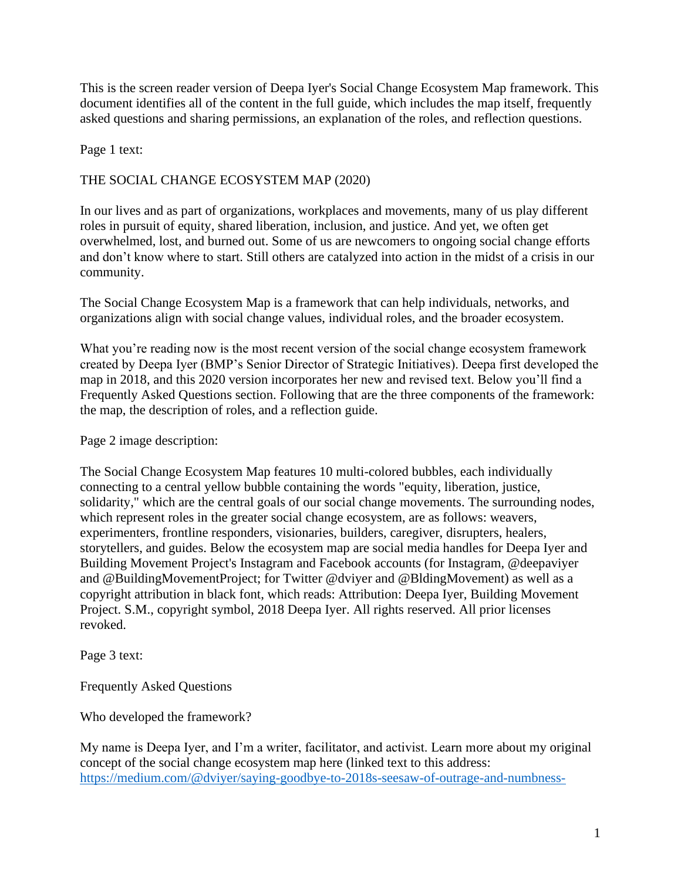This is the screen reader version of Deepa Iyer's Social Change Ecosystem Map framework. This document identifies all of the content in the full guide, which includes the map itself, frequently asked questions and sharing permissions, an explanation of the roles, and reflection questions.

Page 1 text:

## THE SOCIAL CHANGE ECOSYSTEM MAP (2020)

In our lives and as part of organizations, workplaces and movements, many of us play different roles in pursuit of equity, shared liberation, inclusion, and justice. And yet, we often get overwhelmed, lost, and burned out. Some of us are newcomers to ongoing social change efforts and don't know where to start. Still others are catalyzed into action in the midst of a crisis in our community.

The Social Change Ecosystem Map is a framework that can help individuals, networks, and organizations align with social change values, individual roles, and the broader ecosystem.

What you're reading now is the most recent version of the social change ecosystem framework created by Deepa Iyer (BMP's Senior Director of Strategic Initiatives). Deepa first developed the map in 2018, and this 2020 version incorporates her new and revised text. Below you'll find a Frequently Asked Questions section. Following that are the three components of the framework: the map, the description of roles, and a reflection guide.

Page 2 image description:

The Social Change Ecosystem Map features 10 multi-colored bubbles, each individually connecting to a central yellow bubble containing the words "equity, liberation, justice, solidarity," which are the central goals of our social change movements. The surrounding nodes, which represent roles in the greater social change ecosystem, are as follows: weavers, experimenters, frontline responders, visionaries, builders, caregiver, disrupters, healers, storytellers, and guides. Below the ecosystem map are social media handles for Deepa Iyer and Building Movement Project's Instagram and Facebook accounts (for Instagram, @deepaviyer and @BuildingMovementProject; for Twitter @dviyer and @BldingMovement) as well as a copyright attribution in black font, which reads: Attribution: Deepa Iyer, Building Movement Project. S.M., copyright symbol, 2018 Deepa Iyer. All rights reserved. All prior licenses revoked.

Page 3 text:

Frequently Asked Questions

Who developed the framework?

My name is Deepa Iyer, and I'm a writer, facilitator, and activist. Learn more about my original concept of the social change ecosystem map here (linked text to this address: [https://medium.com/@dviyer/saying-goodbye-to-2018s-seesaw-of-outrage-and-numbness-](https://medium.com/@dviyer/saying-goodbye-to-2018s-seesaw-of-outrage-and-numbness-5671aa6768df)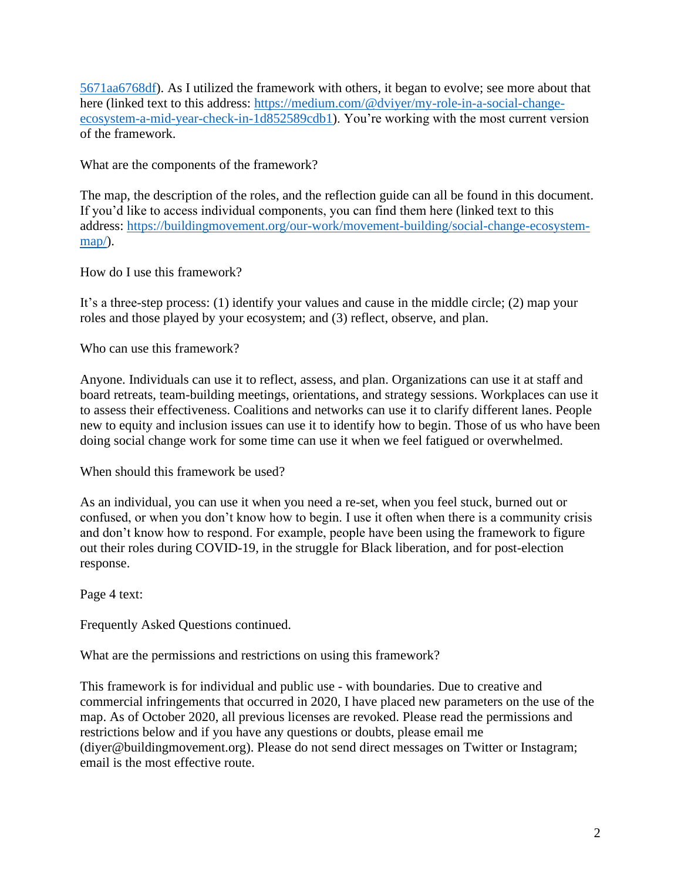[5671aa6768df\)](https://medium.com/@dviyer/saying-goodbye-to-2018s-seesaw-of-outrage-and-numbness-5671aa6768df). As I utilized the framework with others, it began to evolve; see more about that here (linked text to this address: [https://medium.com/@dviyer/my-role-in-a-social-change](https://medium.com/@dviyer/my-role-in-a-social-change-ecosystem-a-mid-year-check-in-1d852589cdb1)[ecosystem-a-mid-year-check-in-1d852589cdb1\)](https://medium.com/@dviyer/my-role-in-a-social-change-ecosystem-a-mid-year-check-in-1d852589cdb1). You're working with the most current version of the framework.

What are the components of the framework?

The map, the description of the roles, and the reflection guide can all be found in this document. If you'd like to access individual components, you can find them here (linked text to this address: [https://buildingmovement.org/our-work/movement-building/social-change-ecosystem](https://buildingmovement.org/our-work/movement-building/social-change-ecosystem-map/)[map/\)](https://buildingmovement.org/our-work/movement-building/social-change-ecosystem-map/).

How do I use this framework?

It's a three-step process: (1) identify your values and cause in the middle circle; (2) map your roles and those played by your ecosystem; and (3) reflect, observe, and plan.

Who can use this framework?

Anyone. Individuals can use it to reflect, assess, and plan. Organizations can use it at staff and board retreats, team-building meetings, orientations, and strategy sessions. Workplaces can use it to assess their effectiveness. Coalitions and networks can use it to clarify different lanes. People new to equity and inclusion issues can use it to identify how to begin. Those of us who have been doing social change work for some time can use it when we feel fatigued or overwhelmed.

When should this framework be used?

As an individual, you can use it when you need a re-set, when you feel stuck, burned out or confused, or when you don't know how to begin. I use it often when there is a community crisis and don't know how to respond. For example, people have been using the framework to figure out their roles during COVID-19, in the struggle for Black liberation, and for post-election response.

Page 4 text:

Frequently Asked Questions continued.

What are the permissions and restrictions on using this framework?

This framework is for individual and public use - with boundaries. Due to creative and commercial infringements that occurred in 2020, I have placed new parameters on the use of the map. As of October 2020, all previous licenses are revoked. Please read the permissions and restrictions below and if you have any questions or doubts, please email me (diyer@buildingmovement.org). Please do not send direct messages on Twitter or Instagram; email is the most effective route.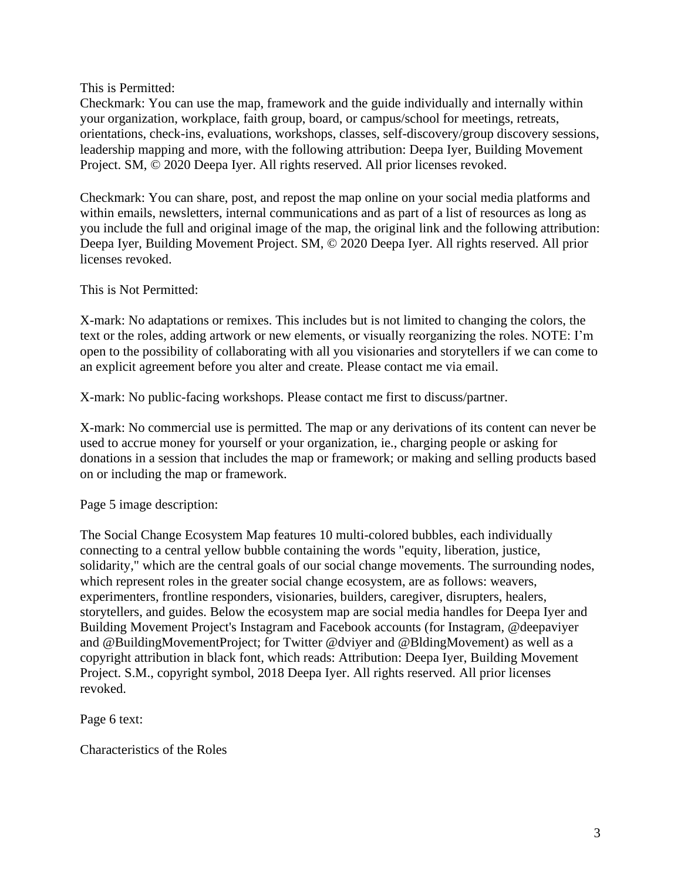This is Permitted:

Checkmark: You can use the map, framework and the guide individually and internally within your organization, workplace, faith group, board, or campus/school for meetings, retreats, orientations, check-ins, evaluations, workshops, classes, self-discovery/group discovery sessions, leadership mapping and more, with the following attribution: Deepa Iyer, Building Movement Project. SM, © 2020 Deepa Iyer. All rights reserved. All prior licenses revoked.

Checkmark: You can share, post, and repost the map online on your social media platforms and within emails, newsletters, internal communications and as part of a list of resources as long as you include the full and original image of the map, the original link and the following attribution: Deepa Iyer, Building Movement Project. SM, © 2020 Deepa Iyer. All rights reserved. All prior licenses revoked.

This is Not Permitted:

X-mark: No adaptations or remixes. This includes but is not limited to changing the colors, the text or the roles, adding artwork or new elements, or visually reorganizing the roles. NOTE: I'm open to the possibility of collaborating with all you visionaries and storytellers if we can come to an explicit agreement before you alter and create. Please contact me via email.

X-mark: No public-facing workshops. Please contact me first to discuss/partner.

X-mark: No commercial use is permitted. The map or any derivations of its content can never be used to accrue money for yourself or your organization, ie., charging people or asking for donations in a session that includes the map or framework; or making and selling products based on or including the map or framework.

Page 5 image description:

The Social Change Ecosystem Map features 10 multi-colored bubbles, each individually connecting to a central yellow bubble containing the words "equity, liberation, justice, solidarity," which are the central goals of our social change movements. The surrounding nodes, which represent roles in the greater social change ecosystem, are as follows: weavers, experimenters, frontline responders, visionaries, builders, caregiver, disrupters, healers, storytellers, and guides. Below the ecosystem map are social media handles for Deepa Iyer and Building Movement Project's Instagram and Facebook accounts (for Instagram, @deepaviyer and @BuildingMovementProject; for Twitter @dviyer and @BldingMovement) as well as a copyright attribution in black font, which reads: Attribution: Deepa Iyer, Building Movement Project. S.M., copyright symbol, 2018 Deepa Iyer. All rights reserved. All prior licenses revoked.

Page 6 text:

Characteristics of the Roles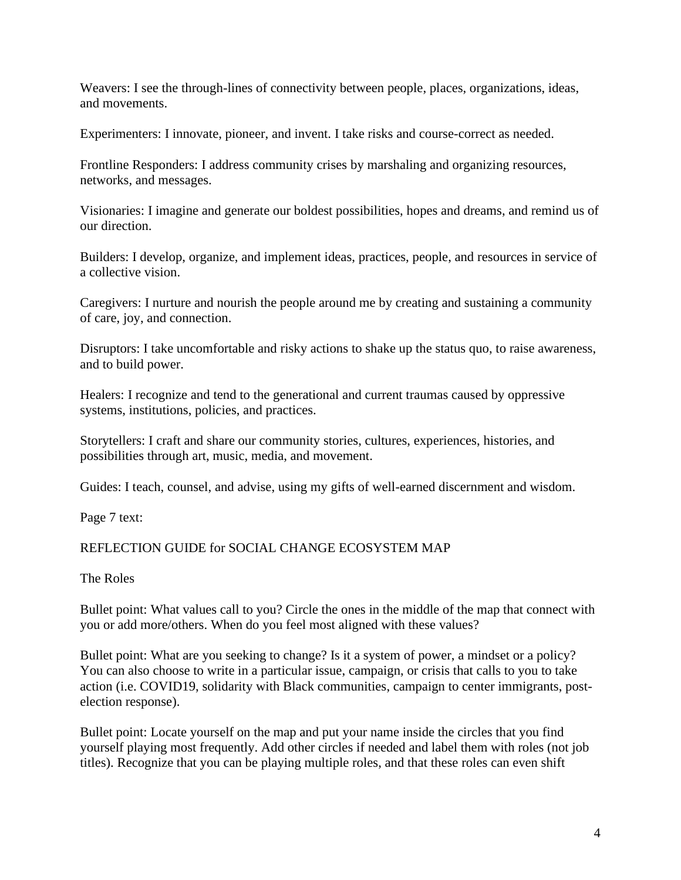Weavers: I see the through-lines of connectivity between people, places, organizations, ideas, and movements.

Experimenters: I innovate, pioneer, and invent. I take risks and course-correct as needed.

Frontline Responders: I address community crises by marshaling and organizing resources, networks, and messages.

Visionaries: I imagine and generate our boldest possibilities, hopes and dreams, and remind us of our direction.

Builders: I develop, organize, and implement ideas, practices, people, and resources in service of a collective vision.

Caregivers: I nurture and nourish the people around me by creating and sustaining a community of care, joy, and connection.

Disruptors: I take uncomfortable and risky actions to shake up the status quo, to raise awareness, and to build power.

Healers: I recognize and tend to the generational and current traumas caused by oppressive systems, institutions, policies, and practices.

Storytellers: I craft and share our community stories, cultures, experiences, histories, and possibilities through art, music, media, and movement.

Guides: I teach, counsel, and advise, using my gifts of well-earned discernment and wisdom.

Page 7 text:

## REFLECTION GUIDE for SOCIAL CHANGE ECOSYSTEM MAP

The Roles

Bullet point: What values call to you? Circle the ones in the middle of the map that connect with you or add more/others. When do you feel most aligned with these values?

Bullet point: What are you seeking to change? Is it a system of power, a mindset or a policy? You can also choose to write in a particular issue, campaign, or crisis that calls to you to take action (i.e. COVID19, solidarity with Black communities, campaign to center immigrants, postelection response).

Bullet point: Locate yourself on the map and put your name inside the circles that you find yourself playing most frequently. Add other circles if needed and label them with roles (not job titles). Recognize that you can be playing multiple roles, and that these roles can even shift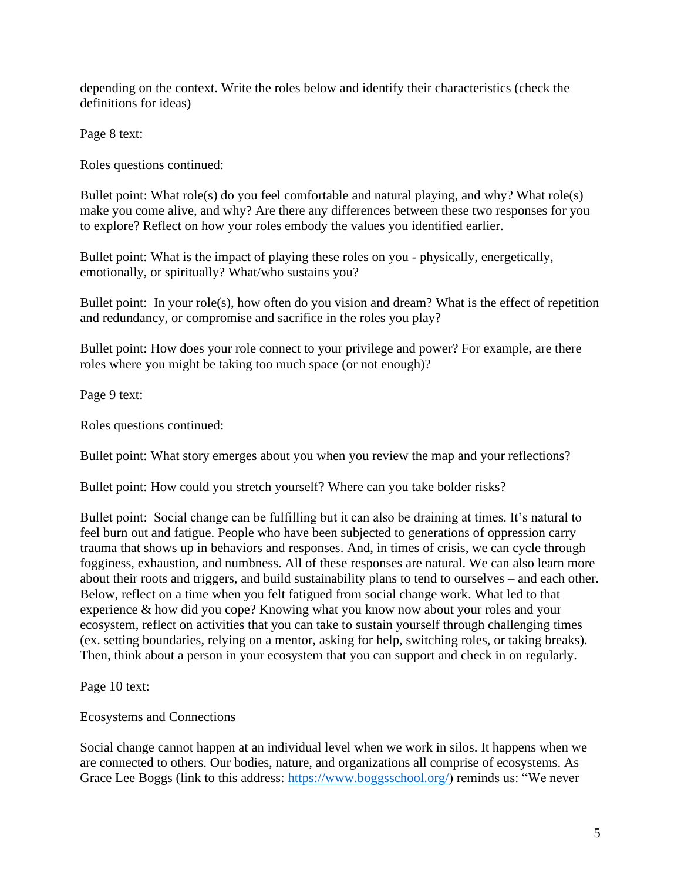depending on the context. Write the roles below and identify their characteristics (check the definitions for ideas)

Page 8 text:

Roles questions continued:

Bullet point: What role(s) do you feel comfortable and natural playing, and why? What role(s) make you come alive, and why? Are there any differences between these two responses for you to explore? Reflect on how your roles embody the values you identified earlier.

Bullet point: What is the impact of playing these roles on you - physically, energetically, emotionally, or spiritually? What/who sustains you?

Bullet point: In your role(s), how often do you vision and dream? What is the effect of repetition and redundancy, or compromise and sacrifice in the roles you play?

Bullet point: How does your role connect to your privilege and power? For example, are there roles where you might be taking too much space (or not enough)?

Page 9 text:

Roles questions continued:

Bullet point: What story emerges about you when you review the map and your reflections?

Bullet point: How could you stretch yourself? Where can you take bolder risks?

Bullet point: Social change can be fulfilling but it can also be draining at times. It's natural to feel burn out and fatigue. People who have been subjected to generations of oppression carry trauma that shows up in behaviors and responses. And, in times of crisis, we can cycle through fogginess, exhaustion, and numbness. All of these responses are natural. We can also learn more about their roots and triggers, and build sustainability plans to tend to ourselves – and each other. Below, reflect on a time when you felt fatigued from social change work. What led to that experience & how did you cope? Knowing what you know now about your roles and your ecosystem, reflect on activities that you can take to sustain yourself through challenging times (ex. setting boundaries, relying on a mentor, asking for help, switching roles, or taking breaks). Then, think about a person in your ecosystem that you can support and check in on regularly.

Page 10 text:

Ecosystems and Connections

Social change cannot happen at an individual level when we work in silos. It happens when we are connected to others. Our bodies, nature, and organizations all comprise of ecosystems. As Grace Lee Boggs (link to this address: [https://www.boggsschool.org/\)](https://www.boggsschool.org/) reminds us: "We never